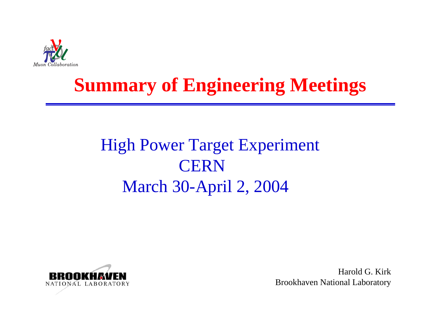

# **Summary of Engineering Meetings**

# High Power Target Experiment **CERN** March 30-April 2, 2004



Harold G. KirkBrookhaven National Laboratory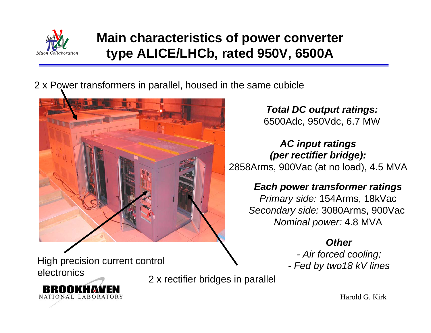

### **Main characteristics of power converter type ALICE/LHCb, rated 950V, 6500A**

2 x Power transformers in parallel, housed in the same cubicle



*Total DC output ratings:* 6500Adc, 950Vdc, 6.7 MW

*AC input ratings (per rectifier bridge):* 2858Arms, 900Vac (at no load), 4.5 MVA

### *Each power transformer ratings*

*Primary side:* 154Arms, 18kVac *Secondary side:* 3080Arms, 900Vac *Nominal power:* 4.8 MVA

### *Other*

*- Air forced cooling; - Fed by two18 kV lines*

High precision current control electronics

RAMIKI I*k*i NATIONAL LABORATORY

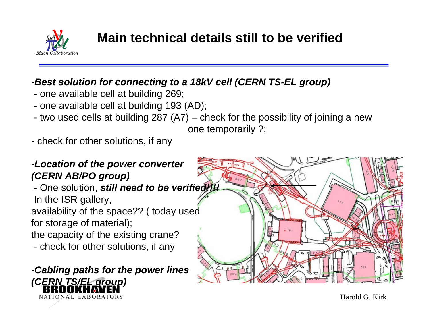

### **Main technical details still to be verified**

### -*Best solution for connecting to a 18kV cell (CERN TS-EL group)*

- *-* one available cell at building 269;
- one available cell at building 193 (AD);
- two used cells at building 287 (A7) check for the possibility of joining a new one temporarily ?;
- check for other solutions, if any

### -*Location of the power converter (CERN AB/PO group)*

*-* One solution, *still need to be verified!!!!* In the ISR gallery, availability of the space?? ( today used for storage of material);

the capacity of the existing crane?

- check for other solutions, if any

-*Cabling paths for the power lines (CERN TS/EL group)*NATIONAL LABORATORY

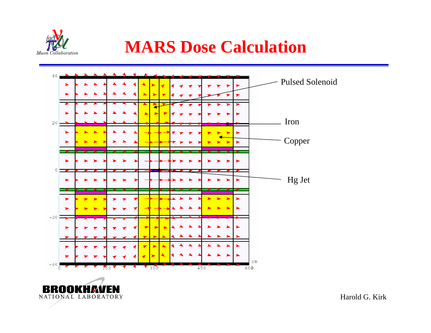

### **MARS Dose Calculation**



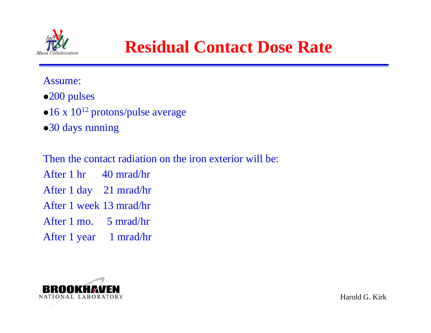

### **Residual Contact Dose Rate**

#### Assume:

- •200 pulses
- $\bullet$ 16 x 10<sup>12</sup> protons/pulse average
- •30 days running

Then the contact radiation on the iron exterior will be:

After 1 hr 40 mrad/hr

After 1 day 21 mrad/hr

After 1 week 13 mrad/hr

After 1 mo. 5 mrad/hr

After 1 year 1 mrad/hr

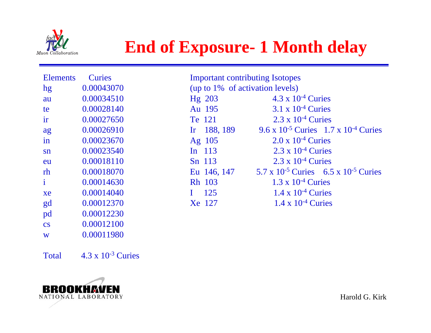

## **End of Exposure- 1 Month delay**

Important contributing Isotopes

| <b>Elements</b>        | <b>Curies</b> |
|------------------------|---------------|
| hg                     | 0.00043070    |
| au                     | 0.00034510    |
| te                     | 0.00028140    |
| ir                     | 0.00027650    |
| ag                     | 0.00026910    |
| in                     | 0.00023670    |
| $\mathbf{S}$ n         | 0.00023540    |
| eu                     | 0.00018110    |
| rh                     | 0.00018070    |
| i                      | 0.00014630    |
| xe                     | 0.00014040    |
| gd                     | 0.00012370    |
| pd                     | 0.00012230    |
| $\overline{\text{cs}}$ | 0.00012100    |
| W                      | 0.00011980    |

| (up to 1% of activation levels) |                                                                         |
|---------------------------------|-------------------------------------------------------------------------|
| Hg 203                          | $4.3 \times 10^{-4}$ Curies                                             |
| Au 195                          | $3.1 \times 10^{-4}$ Curies                                             |
| Te 121                          | $2.3 \times 10^{-4}$ Curies                                             |
|                                 | Ir 188, 189 9.6 x 10 <sup>-5</sup> Curies 1.7 x 10 <sup>-4</sup> Curies |
| Ag $105$                        | $2.0 \times 10^{-4}$ Curies                                             |
| In $113$                        | $2.3 \times 10^{-4}$ Curies                                             |
| Sn 113                          | $2.3 \times 10^{-4}$ Curies                                             |
|                                 | Eu 146, 147 5.7 x 10 <sup>-5</sup> Curies 6.5 x 10 <sup>-5</sup> Curies |
| Rh 103                          | $1.3 \times 10^{-4}$ Curies                                             |
| $1 \quad 125$                   | $1.4 \times 10^{-4}$ Curies                                             |
| Xe 127                          | $1.4 \times 10^{-4}$ Curies                                             |

Total  $4.3 \times 10^{-3}$  Curies

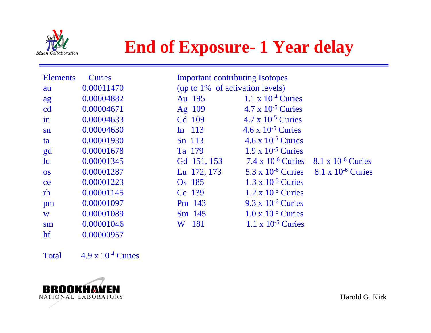

## **End of Exposure- 1 Year delay**

| <b>Elements</b> | <b>Curies</b> | <b>Important contributing Isotopes</b> |                                               |                             |  |  |
|-----------------|---------------|----------------------------------------|-----------------------------------------------|-----------------------------|--|--|
| au              | 0.00011470    | (up to 1% of activation levels)        |                                               |                             |  |  |
| ag              | 0.00004882    | Au 195                                 | $1.1 \times 10^{-4}$ Curies                   |                             |  |  |
| cd              | 0.00004671    | Ag 109                                 | $4.7 \times 10^{-5}$ Curies                   |                             |  |  |
| 1n              | 0.00004633    | Cd 109                                 | $4.7 \times 10^{-5}$ Curies                   |                             |  |  |
| sn              | 0.00004630    | In $113$                               | $4.6 \times 10^{-5}$ Curies                   |                             |  |  |
| ta              | 0.00001930    | Sn 113                                 | $4.6 \times 10^{-5}$ Curies                   |                             |  |  |
| gd              | 0.00001678    | Ta 179                                 | $1.9 \times 10^{-5}$ Curies                   |                             |  |  |
| $\ln$           | 0.00001345    | Gd 151, 153                            | 7.4 x $10^{-6}$ Curies 8.1 x $10^{-6}$ Curies |                             |  |  |
| <b>OS</b>       | 0.00001287    | Lu 172, 173                            | $5.3 \times 10^{-6}$ Curies                   | $8.1 \times 10^{-6}$ Curies |  |  |
| ce              | 0.00001223    | Os 185                                 | $1.3 \times 10^{-5}$ Curies                   |                             |  |  |
| rh              | 0.00001145    | Ce 139                                 | $1.2 \times 10^{-5}$ Curies                   |                             |  |  |
| pm              | 0.00001097    | Pm 143                                 | $9.3 \times 10^{-6}$ Curies                   |                             |  |  |
| W               | 0.00001089    | Sm 145                                 | $1.0 \times 10^{-5}$ Curies                   |                             |  |  |
| sm              | 0.00001046    | 181<br>W                               | 1.1 x $10^{-5}$ Curies                        |                             |  |  |
| hf              | 0.00000957    |                                        |                                               |                             |  |  |

Total  $4.9 \times 10^{-4}$  Curies

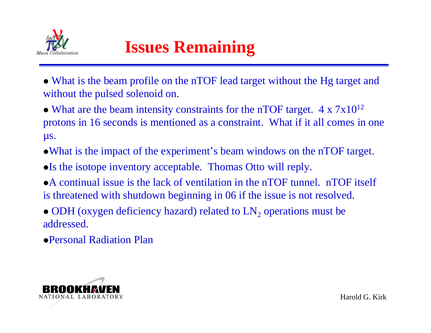

# **Issues Remaining**

- What is the beam profile on the nTOF lead target without the Hg target and without the pulsed solenoid on.
- What are the beam intensity constraints for the nTOF target.  $4 \times 7 \times 10^{12}$ protons in 16 seconds is mentioned as a constraint. What if it all comes in one µs.
- What is the impact of the experiment's beam windows on the nTOF target.
- $\bullet$  Is the isotope inventory acceptable. Thomas Otto will reply.
- A continual issue is the lack of ventilation in the nTOF tunnel. nTOF itself is threatened with shutdown beginning in 06 if the issue is not resolved.
- ODH (oxygen deficiency hazard) related to  $LN_2$  operations must be addressed.
- zPersonal Radiation Plan